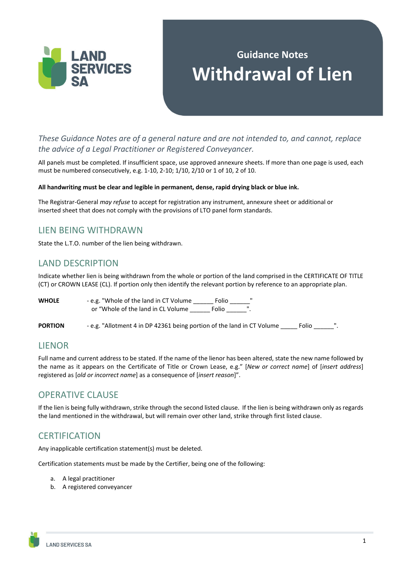

# **Guidance Notes Withdrawal of Lien**

*These Guidance Notes are of a general nature and are not intended to, and cannot, replace the advice of a Legal Practitioner or Registered Conveyancer.* 

All panels must be completed. If insufficient space, use approved annexure sheets. If more than one page is used, each must be numbered consecutively, e.g. 1-10, 2-10; 1/10, 2/10 or 1 of 10, 2 of 10.

#### **All handwriting must be clear and legible in permanent, dense, rapid drying black or blue ink.**

The Registrar-General *may refuse* to accept for registration any instrument, annexure sheet or additional or inserted sheet that does not comply with the provisions of LTO panel form standards.

#### LIEN BEING WITHDRAWN

State the L.T.O. number of the lien being withdrawn.

#### LAND DESCRIPTION

Indicate whether lien is being withdrawn from the whole or portion of the land comprised in the CERTIFICATE OF TITLE (CT) or CROWN LEASE (CL). If portion only then identify the relevant portion by reference to an appropriate plan.

WHOLE  $-$  e.g. "Whole of the land in CT Volume \_\_\_\_\_\_\_ Folio \_\_\_\_\_\_" or "Whole of the land in CL Volume \_\_\_\_\_\_ Folio \_\_\_\_\_\_".

**PORTION** - e.g. "Allotment 4 in DP 42361 being portion of the land in CT Volume \_\_\_\_\_ Folio \_\_\_\_\_\_".

## LIENOR

Full name and current address to be stated. If the name of the lienor has been altered, state the new name followed by the name as it appears on the Certificate of Title or Crown Lease, e.g." [*New or correct name*] of [*insert address*] registered as [*old or incorrect name*] as a consequence of [*insert reason*]".

## OPERATIVE CLAUSE

If the lien is being fully withdrawn, strike through the second listed clause. If the lien is being withdrawn only as regards the land mentioned in the withdrawal, but will remain over other land, strike through first listed clause.

## **CERTIFICATION**

Any inapplicable certification statement(s) must be deleted.

Certification statements must be made by the Certifier, being one of the following:

- a. A legal practitioner
- b. A registered conveyancer